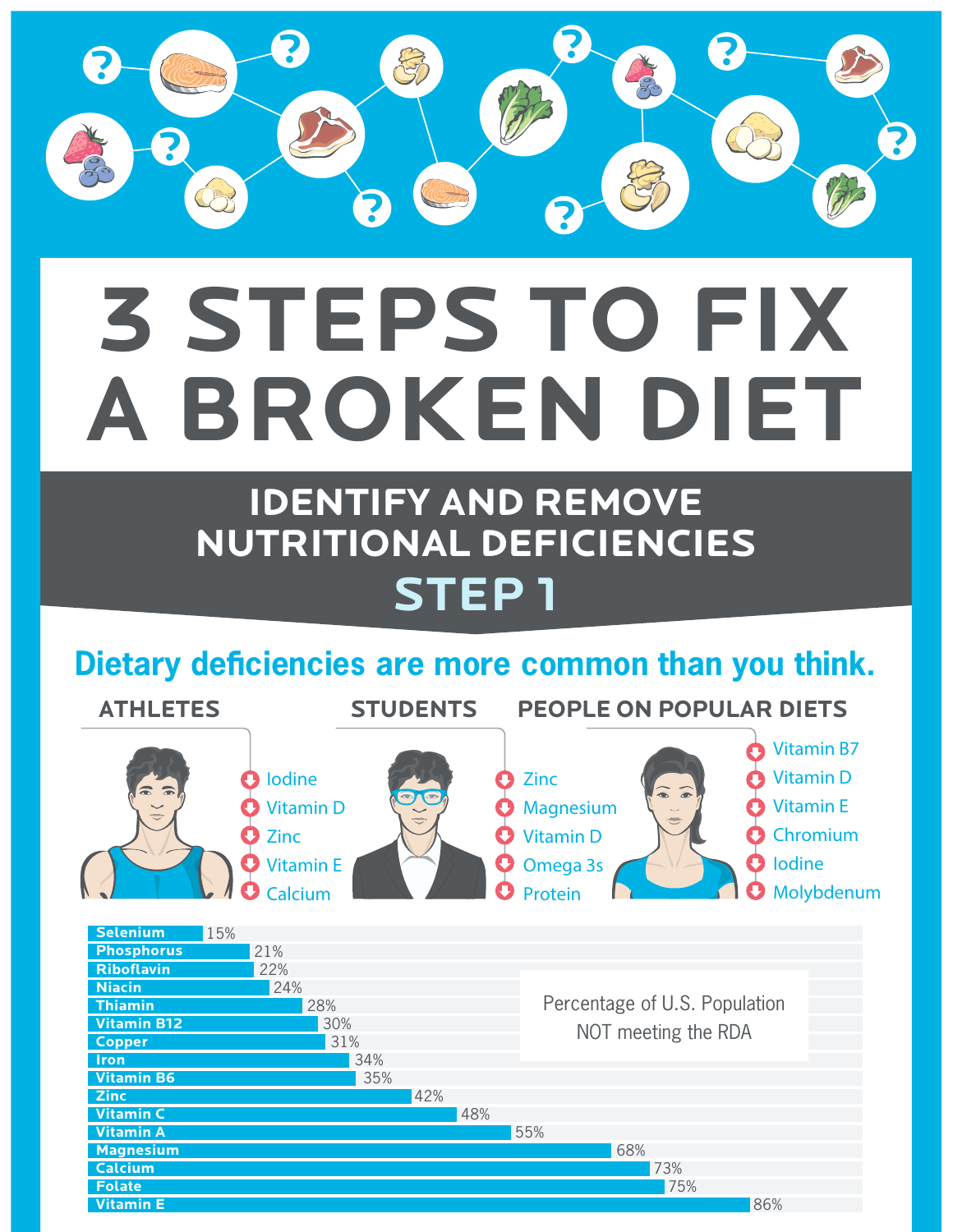

# **3 STEPS TO FIX A BROKEN DIET**

#### **IDENTIFY AND REMOVE NUTRITIONAL DEFICIENCIES STEP 1**

#### **Dietary deficiencies are more common than you think.**

| <b>ATHLETES</b>                             | PEOPLE ON POPULAR DIETS<br><b>STUDENTS</b>                                      |                                                        |                                                                           |                                  |                                                                                                      |
|---------------------------------------------|---------------------------------------------------------------------------------|--------------------------------------------------------|---------------------------------------------------------------------------|----------------------------------|------------------------------------------------------------------------------------------------------|
| $\widehat{\bullet}$ $\widehat{\bullet}$     | <b>lodine</b><br><b>Vitamin D</b><br><b>Zinc</b><br><b>Vitamin E</b><br>Calcium | $\blacksquare$<br>$\bullet$<br>$\overline{\mathbf{u}}$ | <b>Zinc</b><br><b>Magnesium</b><br><b>VitaminD</b><br>Omega 3s<br>Protein | $\bullet$ $\bullet$<br>$\bullet$ | <b>Vitamin B7</b><br><b>Vitamin D</b><br><b>Vitamin E</b><br>Chromium<br><b>lodine</b><br>Molybdenum |
| <b>Selenium</b><br>15%<br><b>Phosphorus</b> | 21%                                                                             |                                                        |                                                                           |                                  |                                                                                                      |
| <b>Riboflavin</b>                           | 22%                                                                             |                                                        |                                                                           |                                  |                                                                                                      |
| <b>Niacin</b>                               | 24%                                                                             |                                                        |                                                                           |                                  |                                                                                                      |
| <b>Thiamin</b>                              | 28%                                                                             |                                                        |                                                                           | Percentage of U.S. Population    |                                                                                                      |
| <b>Vitamin B12</b>                          | 30%<br>31%                                                                      |                                                        | NOT meeting the RDA                                                       |                                  |                                                                                                      |
| <b>Copper</b>                               |                                                                                 |                                                        |                                                                           |                                  |                                                                                                      |
| <b>Iron</b>                                 | 34%                                                                             |                                                        |                                                                           |                                  |                                                                                                      |
| <b>Vitamin B6</b>                           | 35%                                                                             |                                                        |                                                                           |                                  |                                                                                                      |
| <b>Zinc</b>                                 |                                                                                 | 42%                                                    |                                                                           |                                  |                                                                                                      |
| Vitamin C                                   |                                                                                 | 48%                                                    |                                                                           |                                  |                                                                                                      |
| <b>Vitamin A</b>                            |                                                                                 |                                                        | 55%                                                                       |                                  |                                                                                                      |
| <b>Magnesium</b>                            |                                                                                 |                                                        | 68%                                                                       |                                  |                                                                                                      |
| <b>Calcium</b>                              |                                                                                 |                                                        |                                                                           | 73%                              |                                                                                                      |
| <b>Folate</b>                               |                                                                                 |                                                        |                                                                           | 75%                              |                                                                                                      |
| <b>Vitamin E</b>                            |                                                                                 |                                                        |                                                                           |                                  | 86%                                                                                                  |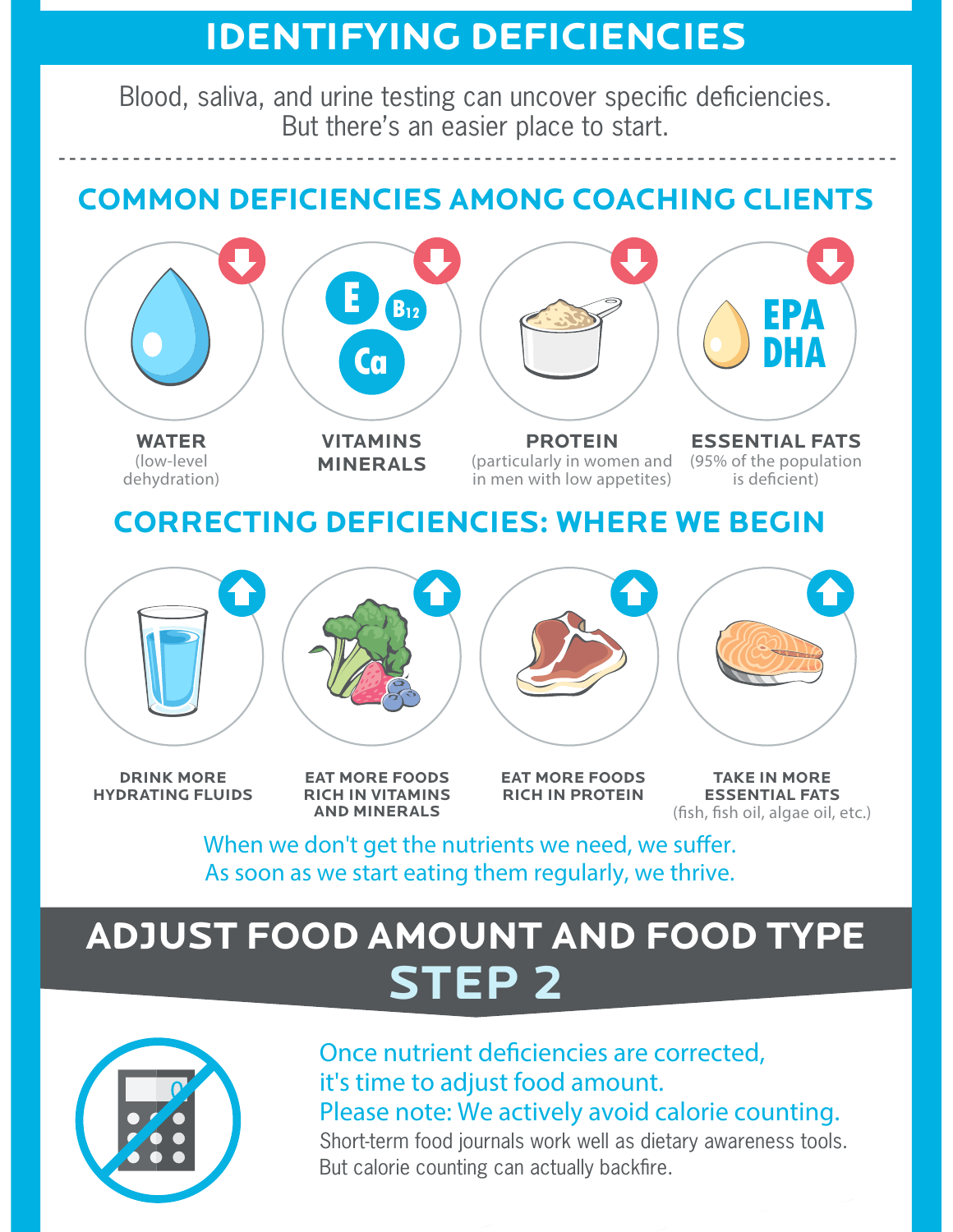#### **IDENTIFYING DEFICIENCIES**

Blood, saliva, and urine testing can uncover specific deficiencies. But there's an easier place to start.

#### **COMMON DEFICIENCIES AMONG COACHING CLIENTS**





**WATER**  (low-level dehydration)

**VITAMINS MINERALS**

**PROTEIN** (particularly in women and

in men with low appetites)



**ESSENTIAL FATS** (95% of the population is deficient)

#### **CORRECTING DEFICIENCIES: WHERE WE BEGIN**





**DRINK MORE HYDRATING FLUIDS**

#### **EAT MORE FOODS RICH IN VITAMINS AND MINERALS**



**EAT MORE FOODS RICH IN PROTEIN**



**TAKE IN MORE ESSENTIAL FATS**  (fish, fish oil, algae oil, etc.)

When we don't get the nutrients we need, we suffer. **As soon as we start eating them regularly, we thrive.**

#### **ADJUST FOOD AMOUNT AND FOOD TYPE STEP 2**



**Once nutrient deficiencies are corrected, it's time to adjust food amount. Please note: We actively avoid calorie counting.** Short-term food journals work well as dietary awareness tools.

But calorie counting can actually backfire.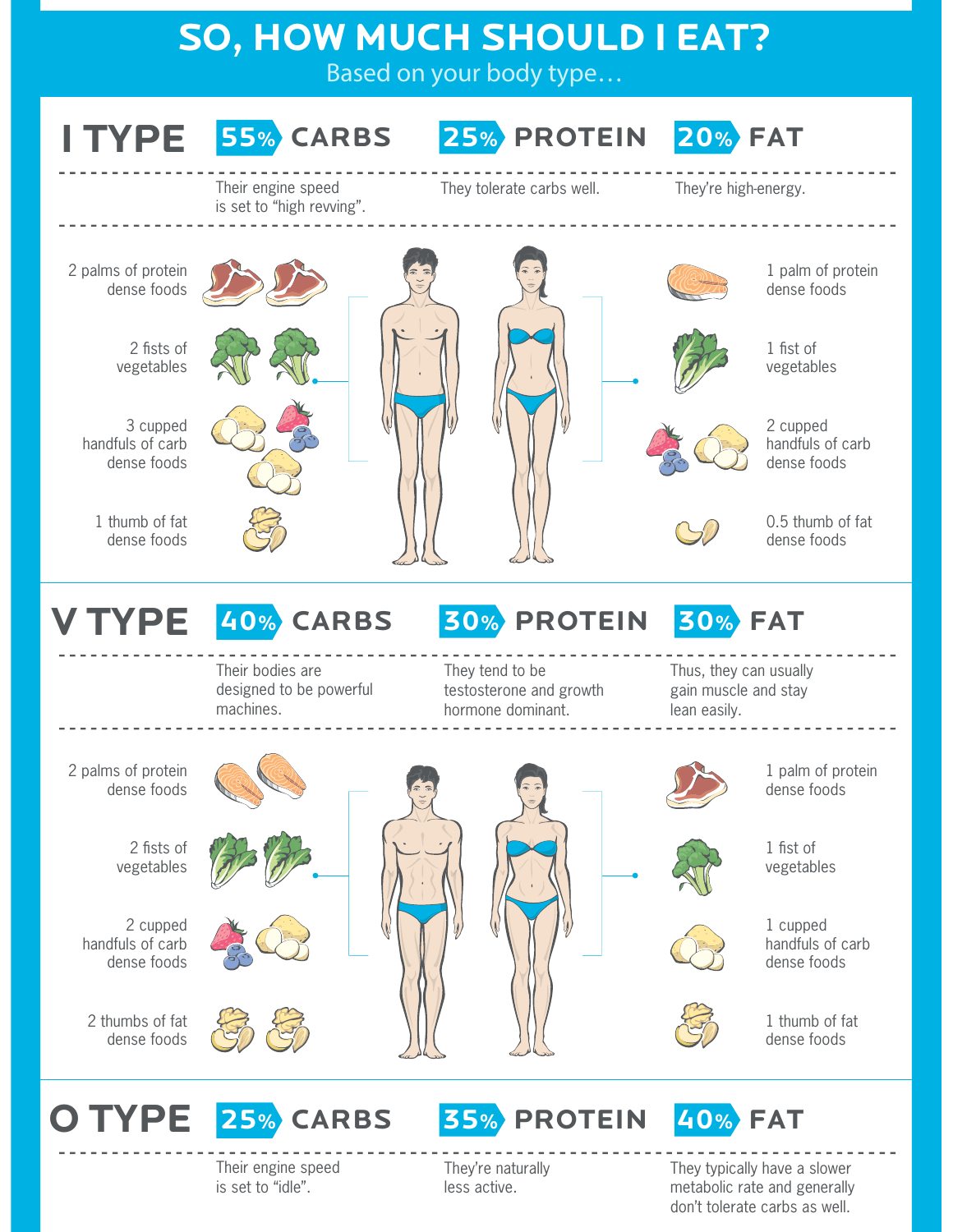#### **SO, HOW MUCH SHOULD I EAT?**

**Based on your body type…**



Their engine speed is set to "idle".

They're naturally less active.

They typically have a slower metabolic rate and generally don't tolerate carbs as well.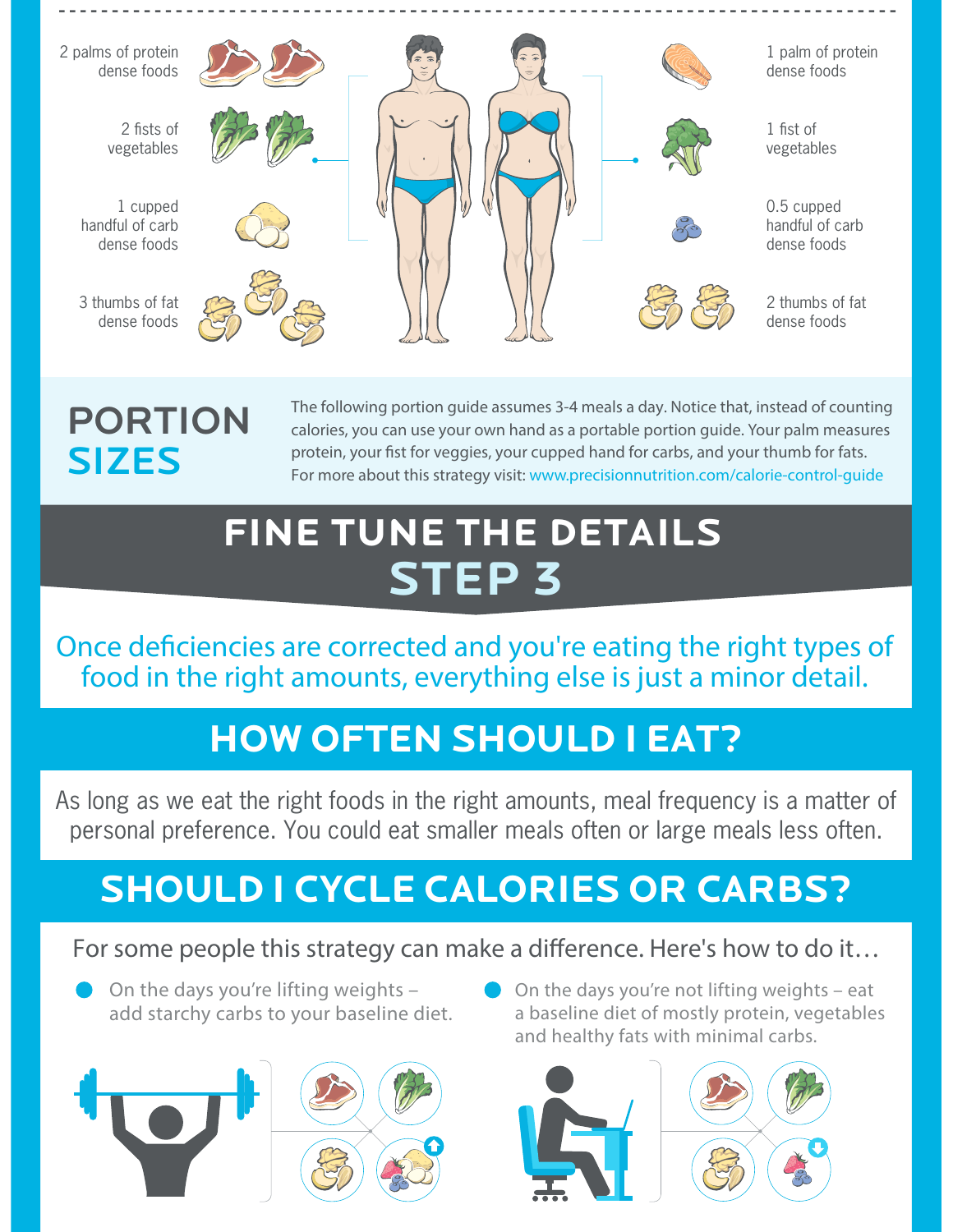

#### PORTION SIZES

The following portion guide assumes 3-4 meals a day. Notice that, instead of counting calories, you can use your own hand as a portable portion guide. Your palm measures protein, your fist for veggies, your cupped hand for carbs, and your thumb for fats. For more about this strategy visit: **www.precisionnutrition.com/calorie-control-guide**

### **STEP 3 FINE TUNE THE DETAILS**

**Once deficiencies are corrected and you're eating the right types of food in the right amounts, everything else is just a minor detail.**

#### **HOW OFTEN SHOULD I EAT?**

As long as we eat the right foods in the right amounts, meal frequency is a matter of personal preference. You could eat smaller meals often or large meals less often.

## **SHOULD I CYCLE CALORIES OR CARBS?**

For some people this strategy can make a difference. Here's how to do it...

On the days you're lifting weights – add starchy carbs to your baseline diet.



 $\bullet$  On the days you're not lifting weights – eat a baseline diet of mostly protein, vegetables and healthy fats with minimal carbs.